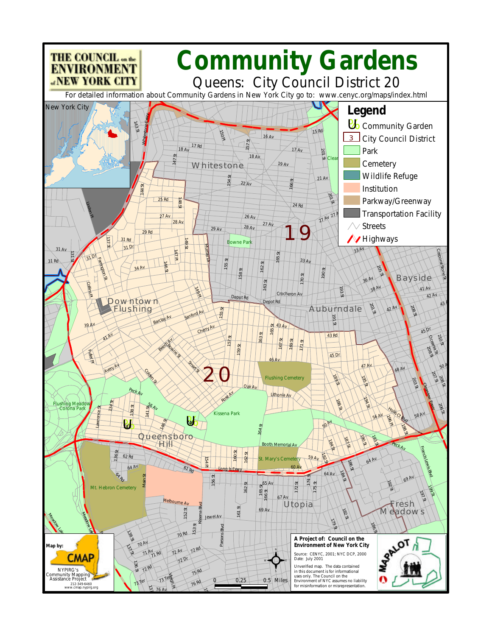